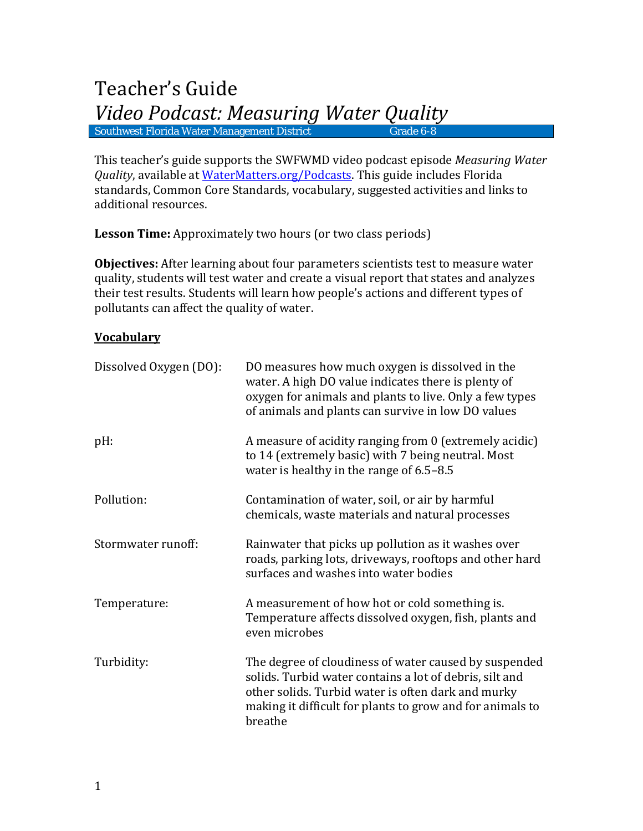This teacher's guide supports the SWFWMD video podcast episode *Measuring Water Quality*, available at [WaterMatters.org/Podcasts.](http://www.watermatters.org/Podcasts) This guide includes Florida standards, Common Core Standards, vocabulary, suggested activities and links to additional resources.

**Lesson Time:** Approximately two hours (or two class periods)

**Objectives:** After learning about four parameters scientists test to measure water quality, students will test water and create a visual report that states and analyzes their test results. Students will learn how people's actions and different types of pollutants can affect the quality of water.

#### **Vocabulary**

| Dissolved Oxygen (DO): | DO measures how much oxygen is dissolved in the<br>water. A high DO value indicates there is plenty of<br>oxygen for animals and plants to live. Only a few types<br>of animals and plants can survive in low DO values                        |  |
|------------------------|------------------------------------------------------------------------------------------------------------------------------------------------------------------------------------------------------------------------------------------------|--|
| pH:                    | A measure of acidity ranging from 0 (extremely acidic)<br>to 14 (extremely basic) with 7 being neutral. Most<br>water is healthy in the range of 6.5–8.5                                                                                       |  |
| Pollution:             | Contamination of water, soil, or air by harmful<br>chemicals, waste materials and natural processes                                                                                                                                            |  |
| Stormwater runoff:     | Rainwater that picks up pollution as it washes over<br>roads, parking lots, driveways, rooftops and other hard<br>surfaces and washes into water bodies                                                                                        |  |
| Temperature:           | A measurement of how hot or cold something is.<br>Temperature affects dissolved oxygen, fish, plants and<br>even microbes                                                                                                                      |  |
| Turbidity:             | The degree of cloudiness of water caused by suspended<br>solids. Turbid water contains a lot of debris, silt and<br>other solids. Turbid water is often dark and murky<br>making it difficult for plants to grow and for animals to<br>breathe |  |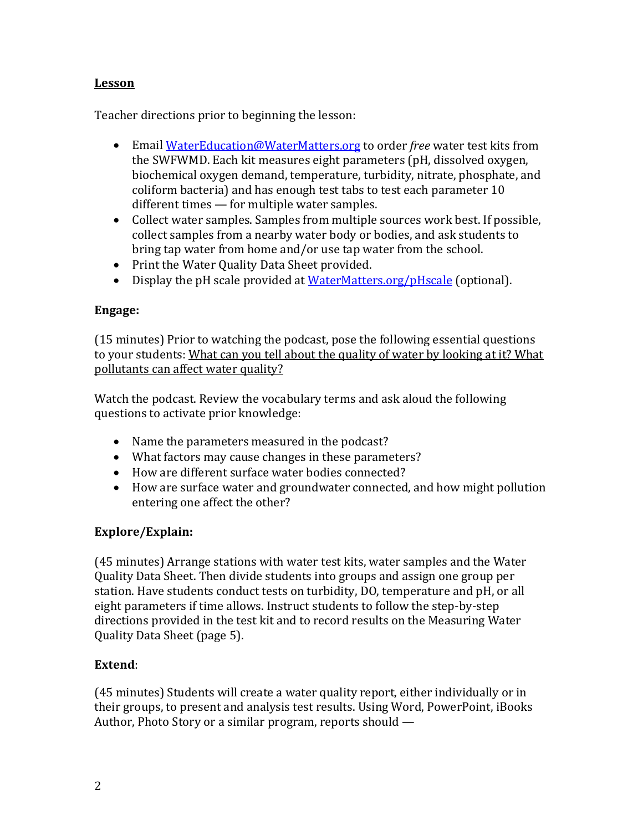## **Lesson**

Teacher directions prior to beginning the lesson:

- Email [WaterEducation@WaterMatters.org](mailto:WaterEducation@WaterMatters.org) to order *free* water test kits from the SWFWMD. Each kit measures eight parameters (pH, dissolved oxygen, biochemical oxygen demand, temperature, turbidity, nitrate, phosphate, and coliform bacteria) and has enough test tabs to test each parameter 10 different times — for multiple water samples.
- Collect water samples. Samples from multiple sources work best. If possible, collect samples from a nearby water body or bodies, and ask students to bring tap water from home and/or use tap water from the school.
- Print the Water Quality Data Sheet provided.
- Display the pH scale provided at [WaterMatters.org/pHscale](http://www.swfwmd.state.fl.us/education/kids/watermonitoring/phScale.pdf) (optional).

## **Engage:**

(15 minutes) Prior to watching the podcast, pose the following essential questions to your students: What can you tell about the quality of water by looking at it? What pollutants can affect water quality?

Watch the podcast. Review the vocabulary terms and ask aloud the following questions to activate prior knowledge:

- Name the parameters measured in the podcast?
- What factors may cause changes in these parameters?
- How are different surface water bodies connected?
- How are surface water and groundwater connected, and how might pollution entering one affect the other?

### **Explore/Explain:**

(45 minutes) Arrange stations with water test kits, water samples and the Water Quality Data Sheet. Then divide students into groups and assign one group per station. Have students conduct tests on turbidity, DO, temperature and pH, or all eight parameters if time allows. Instruct students to follow the step-by-step directions provided in the test kit and to record results on the Measuring Water Quality Data Sheet (page 5).

## **Extend**:

(45 minutes) Students will create a water quality report, either individually or in their groups, to present and analysis test results. Using Word, PowerPoint, iBooks Author, Photo Story or a similar program, reports should —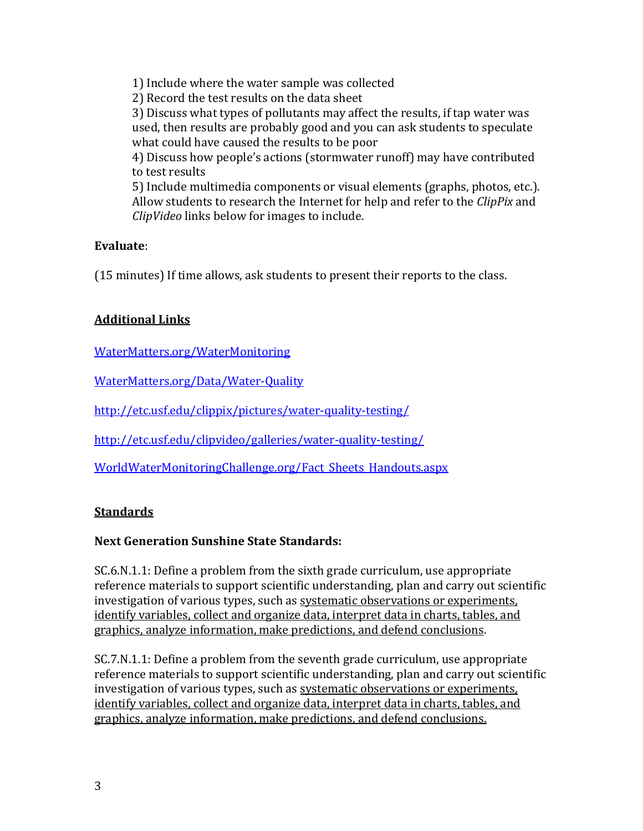1) Include where the water sample was collected 2) Record the test results on the data sheet 3) Discuss what types of pollutants may affect the results, if tap water was used, then results are probably good and you can ask students to speculate what could have caused the results to be poor 4) Discuss how people's actions (stormwater runoff) may have contributed to test results 5) Include multimedia components or visual elements (graphs, photos, etc.). Allow students to research the Internet for help and refer to the *ClipPix* and

*ClipVideo* links below for images to include.

### **Evaluate**:

(15 minutes) If time allows, ask students to present their reports to the class.

# **Additional Links**

[WaterMatters.org/WaterMonitoring](http://www.swfwmd.state.fl.us/education/kids/watermonitoring/index.html)

[WaterMatters.org/Data/Water-Quality](http://www.swfwmd.state.fl.us/data/water-quality/)

<http://etc.usf.edu/clippix/pictures/water-quality-testing/>

<http://etc.usf.edu/clipvideo/galleries/water-quality-testing/>

[WorldWaterMonitoringChallenge.org/Fact\\_Sheets\\_Handouts.aspx](http://www.worldwatermonitoringday.org/Fact_Sheets_Handouts.aspx)

## **Standards**

## **Next Generation Sunshine State Standards:**

SC.6.N.1.1: Define a problem from the sixth grade curriculum, use appropriate reference materials to support scientific understanding, plan and carry out scientific investigation of various types, such as systematic observations or experiments, identify variables, collect and organize data, interpret data in charts, tables, and graphics, analyze information, make predictions, and defend conclusions.

SC.7.N.1.1: Define a problem from the seventh grade curriculum, use appropriate reference materials to support scientific understanding, plan and carry out scientific investigation of various types, such as systematic observations or experiments, identify variables, collect and organize data, interpret data in charts, tables, and graphics, analyze information, make predictions, and defend conclusions.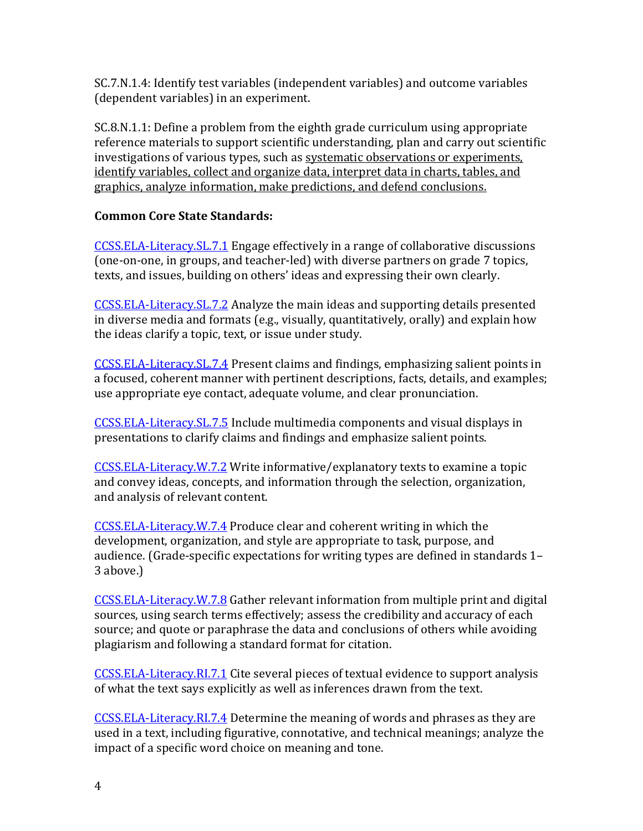SC.7.N.1.4: Identify test variables (independent variables) and outcome variables (dependent variables) in an experiment.

SC.8.N.1.1: Define a problem from the eighth grade curriculum using appropriate reference materials to support scientific understanding, plan and carry out scientific investigations of various types, such as systematic observations or experiments, identify variables, collect and organize data, interpret data in charts, tables, and graphics, analyze information, make predictions, and defend conclusions.

### **Common Core State Standards:**

[CCSS.ELA-Literacy.SL.7.1](http://www.corestandards.org/ELA-Literacy/SL/7/1/) Engage effectively in a range of collaborative discussions (one-on-one, in groups, and teacher-led) with diverse partners on grade 7 topics, texts, and issues, building on others' ideas and expressing their own clearly.

[CCSS.ELA-Literacy.SL.7.2](http://www.corestandards.org/ELA-Literacy/SL/7/2/) Analyze the main ideas and supporting details presented in diverse media and formats (e.g., visually, quantitatively, orally) and explain how the ideas clarify a topic, text, or issue under study.

[CCSS.ELA-Literacy.SL.7.4](http://www.corestandards.org/ELA-Literacy/SL/7/4/) Present claims and findings, emphasizing salient points in a focused, coherent manner with pertinent descriptions, facts, details, and examples; use appropriate eye contact, adequate volume, and clear pronunciation.

[CCSS.ELA-Literacy.SL.7.5](http://www.corestandards.org/ELA-Literacy/SL/7/5/) Include multimedia components and visual displays in presentations to clarify claims and findings and emphasize salient points.

[CCSS.ELA-Literacy.W.7.2](http://www.corestandards.org/ELA-Literacy/W/7/2/) Write informative/explanatory texts to examine a topic and convey ideas, concepts, and information through the selection, organization, and analysis of relevant content.

[CCSS.ELA-Literacy.W.7.4](http://www.corestandards.org/ELA-Literacy/W/7/4/) Produce clear and coherent writing in which the development, organization, and style are appropriate to task, purpose, and audience. (Grade-specific expectations for writing types are defined in standards 1– 3 above.)

[CCSS.ELA-Literacy.W.7.8](http://www.corestandards.org/ELA-Literacy/W/7/8/) Gather relevant information from multiple print and digital sources, using search terms effectively; assess the credibility and accuracy of each source; and quote or paraphrase the data and conclusions of others while avoiding plagiarism and following a standard format for citation.

[CCSS.ELA-Literacy.RI.7.1](http://www.corestandards.org/ELA-Literacy/RI/7/1/) Cite several pieces of textual evidence to support analysis of what the text says explicitly as well as inferences drawn from the text.

[CCSS.ELA-Literacy.RI.7.4](http://www.corestandards.org/ELA-Literacy/RI/7/4/) Determine the meaning of words and phrases as they are used in a text, including figurative, connotative, and technical meanings; analyze the impact of a specific word choice on meaning and tone.